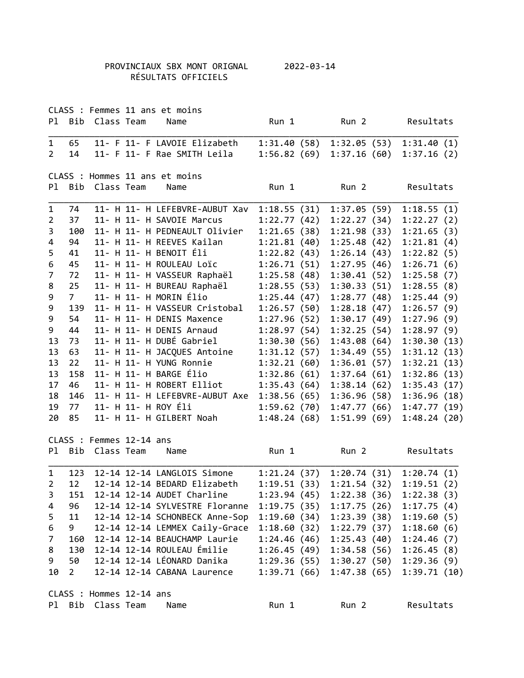## PROVINCIAUX SBX MONT ORIGNAL 2022-03-14 RÉSULTATS OFFICIELS

|                |                |                          | CLASS : Femmes 11 ans et moins    |              |                        |                                          |  |
|----------------|----------------|--------------------------|-----------------------------------|--------------|------------------------|------------------------------------------|--|
| Pl.            | Bib            | Class Team               | Name                              | Run 1        | Run <sub>2</sub>       | Resultats                                |  |
| $\mathbf 1$    | 65             |                          | 11- F 11- F LAVOIE Elizabeth      | 1:31.40(58)  | 1:32.05(53)            | 1:31.40(1)                               |  |
| $\overline{2}$ | 14             |                          | 11- F 11- F Rae SMITH Leila       | 1:56.82(69)  | 1:37.16(60)            | 1:37.16(2)                               |  |
|                |                |                          | CLASS : Hommes 11 ans et moins    |              |                        |                                          |  |
| P1             |                | Bib Class Team           | Name                              | Run 1        | Run <sub>2</sub>       | Resultats                                |  |
| 1              | 74             |                          | 11- H 11- H LEFEBVRE-AUBUT Xav    | 1:18.55(31)  | 1:37.05(59)            | 1:18.55(1)                               |  |
| 2              | 37             |                          | 11- H 11- H SAVOIE Marcus         | 1:22.77(42)  | 1:22.27(34)            | 1:22.27(2)                               |  |
| 3              | 100            |                          | 11- H 11- H PEDNEAULT Olivier     | 1:21.65(38)  | 1:21.98(33)            | 1:21.65(3)                               |  |
| 4              | 94             |                          | 11- H 11- H REEVES Kailan         | 1:21.81(40)  | 1:25.48(42)            | 1:21.81(4)                               |  |
| 5              | 41             |                          | 11- H 11- H BENOIT Éli            | 1:22.82(43)  | 1:26.14(43)            | 1:22.82(5)                               |  |
| 6              | 45             |                          | 11- H 11- H ROULEAU Loïc          | 1:26.71(51)  | 1:27.95(46)            | 1:26.71(6)                               |  |
| 7              | 72             |                          | 11- H 11- H VASSEUR Raphaël       | 1:25.58(48)  | 1:30.41(52)            | 1:25.58(7)                               |  |
| 8              | 25             |                          | 11- H 11- H BUREAU Raphaël        | 1:28.55(53)  | 1:30.33(51)            | 1:28.55(8)                               |  |
| 9              | 7 <sup>7</sup> |                          | 11- H 11- H MORIN Élio            | 1:25.44(47)  | 1:28.77(48)            | 1:25.44(9)                               |  |
| 9              | 139            |                          | 11- H 11- H VASSEUR Cristobal     | 1:26.57(50)  | 1:28.18(47)            | 1:26.57(9)                               |  |
| 9              | 54             |                          | 11- H 11- H DENIS Maxence         | 1:27.96(52)  | 1:30.17(49)            | 1:27.96(9)                               |  |
| 9              | 44             |                          | 11- H 11- H DENIS Arnaud          | 1:28.97(54)  | 1:32.25(54)            | 1:28.97(9)                               |  |
| 13             | 73             |                          | 11- H 11- H DUBÉ Gabriel          | 1:30.30(56)  | 1:43.08(64)            | 1:30.30(13)                              |  |
| 13             | 63             |                          | 11- H 11- H JACQUES Antoine       | 1:31.12(57)  | 1:34.49(55)            | 1:31.12(13)                              |  |
| 13             | 22             |                          | 11- H 11- H YUNG Ronnie           | 1:32.21(60)  | 1:36.01(57)            | 1:32.21(13)                              |  |
| 13             | 158            |                          | 11- H 11- H BARGE Élio            | 1:32.86(61)  | 1:37.64(61)            | 1:32.86(13)                              |  |
| 17             | 46             |                          | 11- H 11- H ROBERT Elliot         | 1:35.43(64)  | 1:38.14(62)            | 1:35.43(17)                              |  |
| 18             | 146            |                          | 11- H 11- H LEFEBVRE-AUBUT Axe    | 1:38.56(65)  | 1:36.96(58)            | 1:36.96(18)                              |  |
| 19             | 77             |                          | 11- H 11- H ROY Éli               | 1:59.62 (70) | 1:47.77(66)            | 1:47.77(19)                              |  |
| 20             | 85             |                          | 11- H 11- H GILBERT Noah          | 1:48.24(68)  | 1:51.99(69)            | 1:48.24(20)                              |  |
|                |                | CLASS : Femmes 12-14 ans |                                   |              |                        |                                          |  |
| Pl -           |                | Bib Class Team           | Name                              | Run 1        | Run <sub>2</sub>       | Resultats                                |  |
| $\mathbf{1}$   | 123            |                          | 12-14 12-14 LANGLOIS Simone       |              | 1:21.24(37)1:20.74(31) | 1:20.74(1)                               |  |
|                |                |                          | 2 12 12-14 12-14 BEDARD Elizabeth |              |                        | $1:19.51(33)$ $1:21.54(32)$ $1:19.51(2)$ |  |
| 3              | 151            |                          | 12-14 12-14 AUDET Charline        |              |                        | $1:23.94(45)$ $1:22.38(36)$ $1:22.38(3)$ |  |
| 4              | 96             |                          | 12-14 12-14 SYLVESTRE Floranne    |              | 1:19.75(35)1:17.75(26) | 1:17.75(4)                               |  |
| 5              | 11             |                          | 12-14 12-14 SCHONBECK Anne-Sop    | 1:19.60(34)  | 1:23.39(38)            | 1:19.60(5)                               |  |
| 6              | 9              |                          | 12-14 12-14 LEMMEX Caily-Grace    | 1:18.60(32)  | 1:22.79(37)            | 1:18.60(6)                               |  |
| 7              | 160            |                          | 12-14 12-14 BEAUCHAMP Laurie      | 1:24.46(46)  | 1:25.43(40)            | 1:24.46(7)                               |  |
| 8              | 130            |                          | 12-14 12-14 ROULEAU Émilie        |              | 1:26.45(49)1:34.58(56) | 1:26.45(8)                               |  |
| 9              | 50             |                          | 12-14 12-14 LÉONARD Danika        |              | 1:29.36(55)1:30.27(50) | 1:29.36(9)                               |  |
| 10             | $2^{\circ}$    |                          | 12-14 12-14 CABANA Laurence       |              | 1:39.71(66)1:37.38(65) | 1:39.71(10)                              |  |
|                |                |                          |                                   |              |                        |                                          |  |
|                |                | CLASS : Hommes 12-14 ans |                                   |              |                        |                                          |  |
| P1             |                | Bib Class Team           | Name                              | Run 1        | Run <sub>2</sub>       | Resultats                                |  |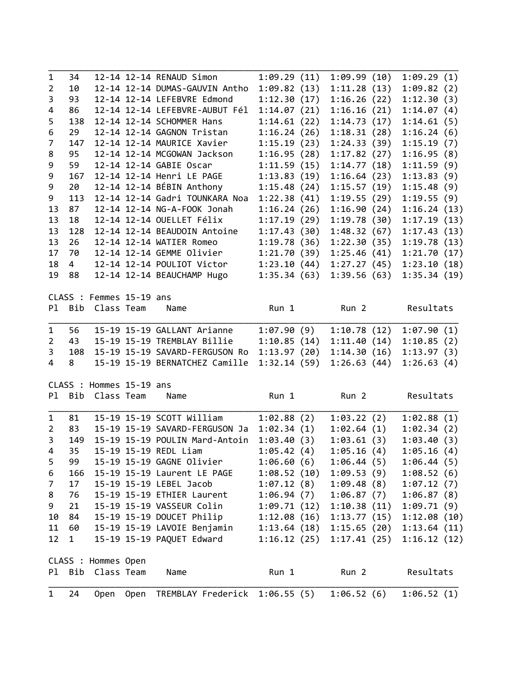| $\mathbf{1}$   | 24        | <b>Open</b>              | Open | TREMBLAY Frederick                                       | 1:06.55(5)   | 1:06.52(6)             | 1:06.52(1)  |  |
|----------------|-----------|--------------------------|------|----------------------------------------------------------|--------------|------------------------|-------------|--|
| Pl             |           | Bib Class Team           |      | Name                                                     | Run 1        | Run <sub>2</sub>       | Resultats   |  |
|                |           | CLASS : Hommes Open      |      |                                                          |              |                        |             |  |
| 12             | 1         |                          |      | 15-19 15-19 PAQUET Edward                                |              | 1:16.12(25)1:17.41(25) | 1:16.12(12) |  |
| 11             | 60        |                          |      | 15-19 15-19 LAVOIE Benjamin                              |              | 1:13.64(18)1:15.65(20) | 1:13.64(11) |  |
| 10             | 84        |                          |      | 15-19 15-19 DOUCET Philip                                |              | 1:12.08(16)1:13.77(15) | 1:12.08(10) |  |
| 9              | 21        |                          |      | 15-19 15-19 VASSEUR Colin                                | 1:09.71 (12) | 1:10.38(11)            | 1:09.71(9)  |  |
| 8              | 76        |                          |      | 15-19 15-19 ETHIER Laurent                               | 1:06.94(7)   | 1:06.87(7)             | 1:06.87(8)  |  |
| 7              | 17        |                          |      | 15-19 15-19 LEBEL Jacob                                  | 1:07.12(8)   | 1:09.48(8)             | 1:07.12(7)  |  |
| 6              | 166       |                          |      | 15-19 15-19 Laurent LE PAGE                              | 1:08.52(10)  | 1:09.53(9)             | 1:08.52(6)  |  |
| 5              | 99        |                          |      | 15-19 15-19 GAGNE Olivier                                | 1:06.60(6)   | 1:06.44(5)             | 1:06.44(5)  |  |
| 4              | 35        |                          |      | 15-19 15-19 REDL Liam                                    | 1:05.42(4)   | 1:05.16(4)             | 1:05.16(4)  |  |
| $\overline{3}$ | 149       |                          |      | 15-19 15-19 POULIN Mard-Antoin                           | 1:03.40(3)   | 1:03.61(3)             | 1:03.40(3)  |  |
| $\overline{2}$ | 83        |                          |      | 15-19 15-19 SAVARD-FERGUSON Ja                           | 1:02.34(1)   | 1:02.64(1)             | 1:02.34(2)  |  |
| 1              | 81        |                          |      | 15-19 15-19 SCOTT William                                | 1:02.88(2)   | 1:03.22(2)             | 1:02.88(1)  |  |
| P1             |           | Bib Class Team           |      | Name                                                     | Run 1        | Run <sub>2</sub>       | Resultats   |  |
|                |           | CLASS : Hommes 15-19 ans |      |                                                          |              |                        |             |  |
| 4              | 8         |                          |      | 15-19 15-19 BERNATCHEZ Camille                           | 1:32.14(59)  | 1:26.63(44)            | 1:26.63(4)  |  |
| 3              | 108       |                          |      | 15-19 15-19 SAVARD-FERGUSON Ro                           | 1:13.97(20)  | 1:14.30(16)            | 1:13.97(3)  |  |
| 2              | 43        |                          |      | 15-19 15-19 TREMBLAY Billie                              | 1:10.85(14)  | 1:11.40(14)            | 1:10.85(2)  |  |
| 1              | 56        |                          |      | 15-19 15-19 GALLANT Arianne                              | 1:07.90(9)   | 1:10.78(12)            | 1:07.90(1)  |  |
| P1             | Bib       | Class Team               |      | Name                                                     | Run 1        | Run <sub>2</sub>       | Resultats   |  |
|                |           | CLASS : Femmes 15-19 ans |      |                                                          |              |                        |             |  |
|                | 88        |                          |      | 12-14 12-14 BEAUCHAMP Hugo                               | 1:35.34(63)  | 1:39.56(63)            | 1:35.34(19) |  |
| 18<br>19       | $4 \quad$ |                          |      | 12-14 12-14 POULIOT Victor                               | 1:23.10(44)  | 1:27.27(45)            | 1:23.10(18) |  |
| 17             | 70        |                          |      | 12-14 12-14 GEMME Olivier                                | 1:21.70(39)  | 1:25.46(41)            | 1:21.70(17) |  |
| 13             | 26        |                          |      |                                                          | 1:19.78(36)  | 1:22.30(35)            | 1:19.78(13) |  |
| 13             | 128       |                          |      | 12-14 12-14 BEAUDOIN Antoine<br>12-14 12-14 WATIER Romeo | 1:17.43(30)  | 1:48.32(67)            | 1:17.43(13) |  |
| 13             | 18        |                          |      | 12-14 12-14 OUELLET Félix                                | 1:17.19(29)  | 1:19.78(30)            | 1:17.19(13) |  |
| 13             | 87        |                          |      | 12-14 12-14 NG-A-FOOK Jonah                              | 1:16.24(26)  | 1:16.90(24)            | 1:16.24(13) |  |
| 9              | 113       |                          |      | 12-14 12-14 Gadri TOUNKARA Noa                           | 1:22.38(41)  | 1:19.55(29)            | 1:19.55(9)  |  |
| 9              | 20        |                          |      | 12-14 12-14 BÉBIN Anthony                                | 1:15.48(24)  | 1:15.57(19)            | 1:15.48(9)  |  |
| 9              | 167       |                          |      | 12-14 12-14 Henri LE PAGE                                | 1:13.83(19)  | 1:16.64(23)            | 1:13.83(9)  |  |
| 9              | 59        |                          |      | 12-14 12-14 GABIE Oscar                                  | 1:11.59(15)  | 1:14.77(18)            | 1:11.59(9)  |  |
| 8              | 95        |                          |      | 12-14 12-14 MCGOWAN Jackson                              | 1:16.95(28)  | 1:17.82(27)            | 1:16.95(8)  |  |
| 7              | 147       |                          |      | 12-14 12-14 MAURICE Xavier                               | 1:15.19(23)  | 1:24.33(39)            | 1:15.19(7)  |  |
| 6              | 29        |                          |      | 12-14 12-14 GAGNON Tristan                               | 1:16.24(26)  | 1:18.31(28)            | 1:16.24(6)  |  |
| 5              | 138       |                          |      | 12-14 12-14 SCHOMMER Hans                                | 1:14.61(22)  | 1:14.73(17)            | 1:14.61(5)  |  |
| 4              | 86        |                          |      | 12-14 12-14 LEFEBVRE-AUBUT Fél                           | 1:14.07(21)  | 1:16.16(21)            | 1:14.07(4)  |  |
| 3              | 93        |                          |      | 12-14 12-14 LEFEBVRE Edmond                              | 1:12.30(17)  | 1:16.26(22)            | 1:12.30(3)  |  |
| $\overline{2}$ | 10        |                          |      | 12-14 12-14 DUMAS-GAUVIN Antho                           | 1:09.82(13)  | 1:11.28(13)            | 1:09.82(2)  |  |
|                |           |                          |      |                                                          | 1:09.29(11)  |                        | 1:09.29(1)  |  |